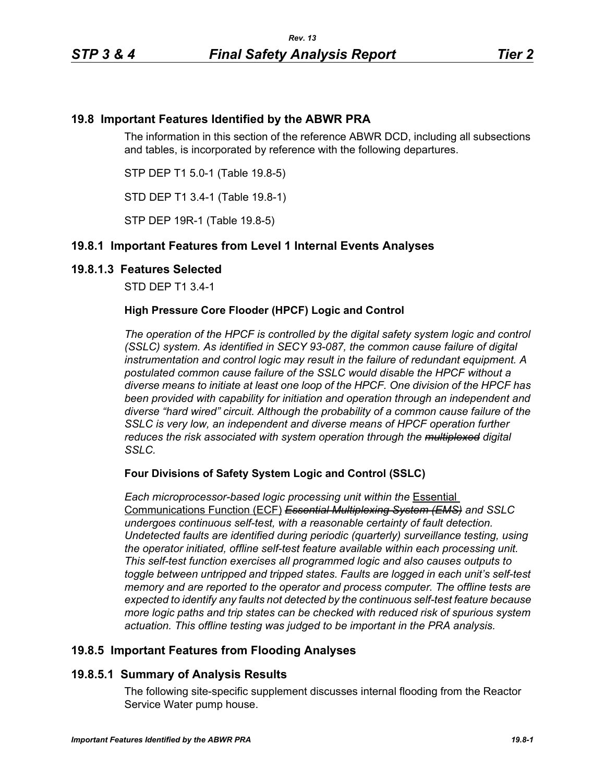# **19.8 Important Features Identified by the ABWR PRA**

The information in this section of the reference ABWR DCD, including all subsections and tables, is incorporated by reference with the following departures.

STP DEP T1 5.0-1 (Table 19.8-5)

STD DEP T1 3.4-1 (Table 19.8-1)

STP DEP 19R-1 (Table 19.8-5)

## **19.8.1 Important Features from Level 1 Internal Events Analyses**

## **19.8.1.3 Features Selected**

STD DEP T1 3.4-1

## **High Pressure Core Flooder (HPCF) Logic and Control**

*The operation of the HPCF is controlled by the digital safety system logic and control (SSLC) system. As identified in SECY 93-087, the common cause failure of digital instrumentation and control logic may result in the failure of redundant equipment. A postulated common cause failure of the SSLC would disable the HPCF without a diverse means to initiate at least one loop of the HPCF. One division of the HPCF has been provided with capability for initiation and operation through an independent and diverse "hard wired" circuit. Although the probability of a common cause failure of the SSLC is very low, an independent and diverse means of HPCF operation further reduces the risk associated with system operation through the multiplexed digital SSLC.*

### **Four Divisions of Safety System Logic and Control (SSLC)**

*Each microprocessor-based logic processing unit within the* Essential Communications Function (ECF) *Essential Multiplexing System (EMS) and SSLC undergoes continuous self-test, with a reasonable certainty of fault detection. Undetected faults are identified during periodic (quarterly) surveillance testing, using the operator initiated, offline self-test feature available within each processing unit. This self-test function exercises all programmed logic and also causes outputs to toggle between untripped and tripped states. Faults are logged in each unit's self-test memory and are reported to the operator and process computer. The offline tests are expected to identify any faults not detected by the continuous self-test feature because more logic paths and trip states can be checked with reduced risk of spurious system actuation. This offline testing was judged to be important in the PRA analysis.*

## **19.8.5 Important Features from Flooding Analyses**

## **19.8.5.1 Summary of Analysis Results**

The following site-specific supplement discusses internal flooding from the Reactor Service Water pump house.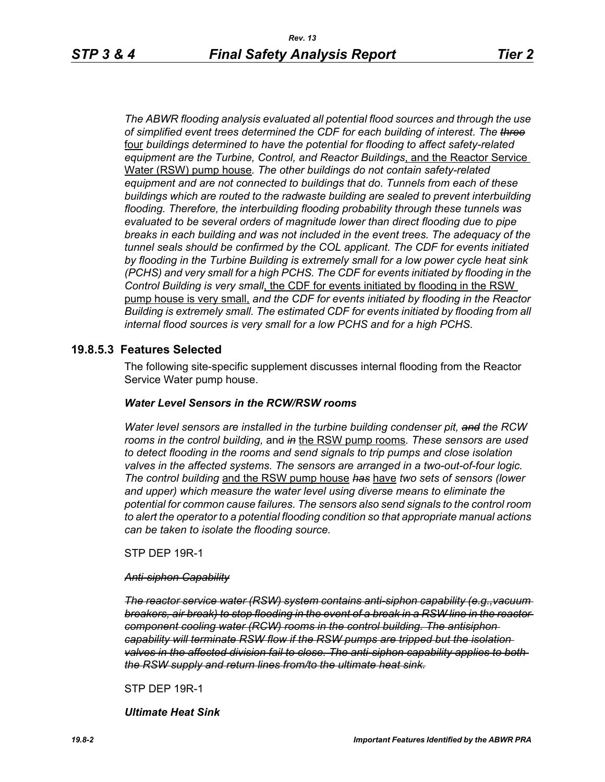*The ABWR flooding analysis evaluated all potential flood sources and through the use of simplified event trees determined the CDF for each building of interest. The three* four *buildings determined to have the potential for flooding to affect safety-related equipment are the Turbine, Control, and Reactor Buildings*, and the Reactor Service Water (RSW) pump house*. The other buildings do not contain safety-related equipment and are not connected to buildings that do. Tunnels from each of these buildings which are routed to the radwaste building are sealed to prevent interbuilding flooding. Therefore, the interbuilding flooding probability through these tunnels was evaluated to be several orders of magnitude lower than direct flooding due to pipe breaks in each building and was not included in the event trees. The adequacy of the tunnel seals should be confirmed by the COL applicant. The CDF for events initiated by flooding in the Turbine Building is extremely small for a low power cycle heat sink (PCHS) and very small for a high PCHS. The CDF for events initiated by flooding in the Control Building is very small*, the CDF for events initiated by flooding in the RSW pump house is very small, *and the CDF for events initiated by flooding in the Reactor Building is extremely small. The estimated CDF for events initiated by flooding from all internal flood sources is very small for a low PCHS and for a high PCHS.*

## **19.8.5.3 Features Selected**

The following site-specific supplement discusses internal flooding from the Reactor Service Water pump house.

#### *Water Level Sensors in the RCW/RSW rooms*

*Water level sensors are installed in the turbine building condenser pit, and the RCW rooms in the control building,* and *in* the RSW pump rooms*. These sensors are used to detect flooding in the rooms and send signals to trip pumps and close isolation valves in the affected systems. The sensors are arranged in a two-out-of-four logic. The control building* and the RSW pump house *has* have *two sets of sensors (lower and upper) which measure the water level using diverse means to eliminate the potential for common cause failures. The sensors also send signals to the control room to alert the operator to a potential flooding condition so that appropriate manual actions can be taken to isolate the flooding source.*

STP DEP 19R-1

#### *Anti-siphon Capability*

*The reactor service water (RSW) system contains anti-siphon capability (e.g.,vacuum breakers, air break) to stop flooding in the event of a break in a RSW line in the reactor component cooling water (RCW) rooms in the control building. The antisiphon capability will terminate RSW flow if the RSW pumps are tripped but the isolation valves in the affected division fail to close. The anti-siphon capability applies to both the RSW supply and return lines from/to the ultimate heat sink.*

STP DEP 19R-1

*Ultimate Heat Sink*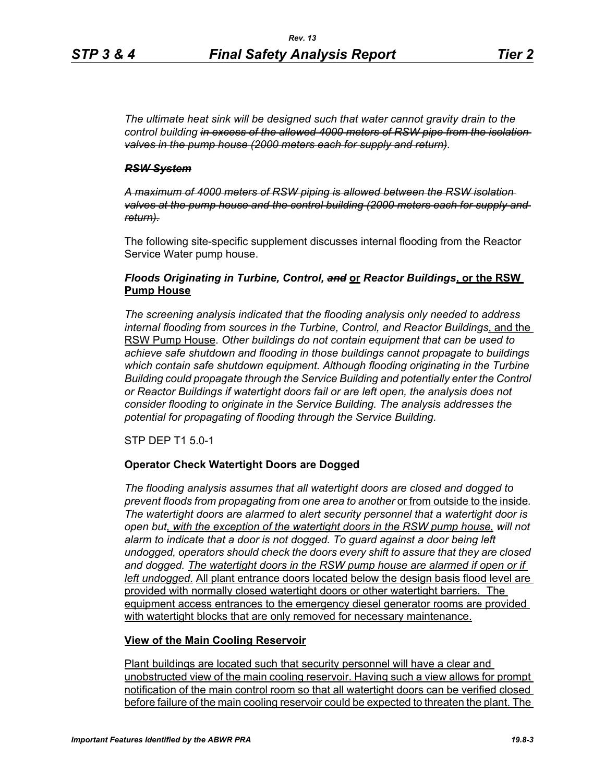*The ultimate heat sink will be designed such that water cannot gravity drain to the control building in excess of the allowed 4000 meters of RSW pipe from the isolation valves in the pump house (2000 meters each for supply and return).*

### *RSW System*

*A maximum of 4000 meters of RSW piping is allowed between the RSW isolation valves at the pump house and the control building (2000 meters each for supply and return).*

The following site-specific supplement discusses internal flooding from the Reactor Service Water pump house.

## *Floods Originating in Turbine, Control, and* **or** *Reactor Buildings***, or the RSW Pump House**

*The screening analysis indicated that the flooding analysis only needed to address internal flooding from sources in the Turbine, Control, and Reactor Buildings*, and the RSW Pump House. *Other buildings do not contain equipment that can be used to achieve safe shutdown and flooding in those buildings cannot propagate to buildings which contain safe shutdown equipment. Although flooding originating in the Turbine Building could propagate through the Service Building and potentially enter the Control or Reactor Buildings if watertight doors fail or are left open, the analysis does not consider flooding to originate in the Service Building. The analysis addresses the potential for propagating of flooding through the Service Building.*

STP DEP T1 5.0-1

### **Operator Check Watertight Doors are Dogged**

*The flooding analysis assumes that all watertight doors are closed and dogged to prevent floods from propagating from one area to another* or from outside to the inside*. The watertight doors are alarmed to alert security personnel that a watertight door is open but, with the exception of the watertight doors in the RSW pump house, will not alarm to indicate that a door is not dogged. To guard against a door being left undogged, operators should check the doors every shift to assure that they are closed*  and dogged. The watertight doors in the RSW pump house are alarmed if open or if *left undogged.* All plant entrance doors located below the design basis flood level are provided with normally closed watertight doors or other watertight barriers. The equipment access entrances to the emergency diesel generator rooms are provided with watertight blocks that are only removed for necessary maintenance.

## **View of the Main Cooling Reservoir**

Plant buildings are located such that security personnel will have a clear and unobstructed view of the main cooling reservoir. Having such a view allows for prompt notification of the main control room so that all watertight doors can be verified closed before failure of the main cooling reservoir could be expected to threaten the plant. The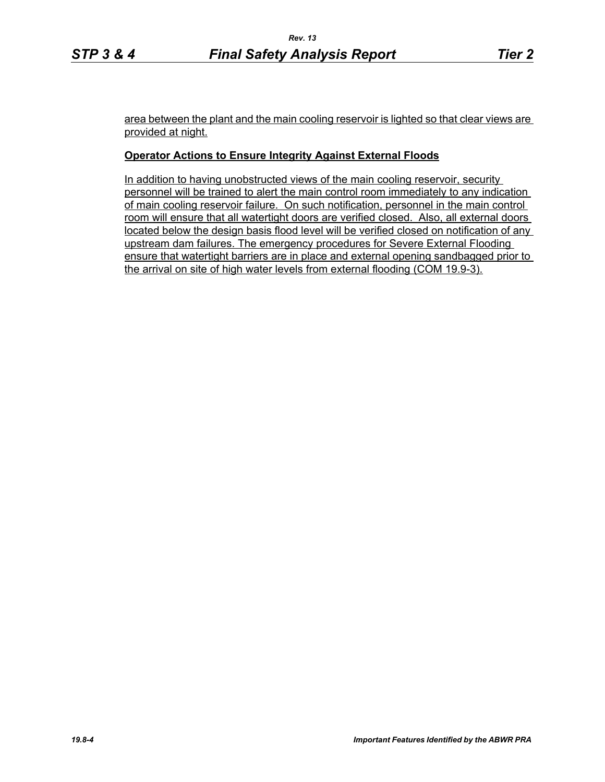area between the plant and the main cooling reservoir is lighted so that clear views are provided at night.

## **Operator Actions to Ensure Integrity Against External Floods**

In addition to having unobstructed views of the main cooling reservoir, security personnel will be trained to alert the main control room immediately to any indication of main cooling reservoir failure. On such notification, personnel in the main control room will ensure that all watertight doors are verified closed. Also, all external doors located below the design basis flood level will be verified closed on notification of any upstream dam failures. The emergency procedures for Severe External Flooding ensure that watertight barriers are in place and external opening sandbagged prior to the arrival on site of high water levels from external flooding (COM 19.9-3).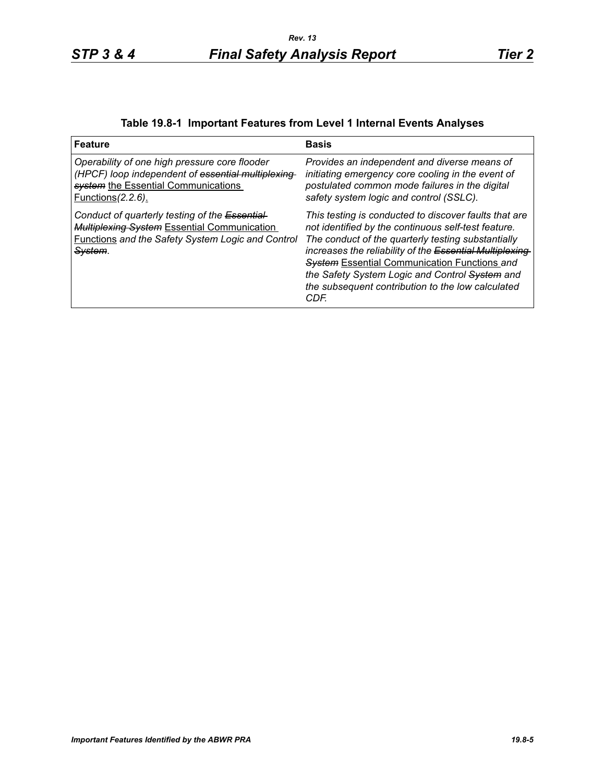# **Table 19.8-1 Important Features from Level 1 Internal Events Analyses**

| <b>Feature</b>                                                                                                                                                             | <b>Basis</b>                                                                                                                                                                                                                                                                                                                                                                                        |
|----------------------------------------------------------------------------------------------------------------------------------------------------------------------------|-----------------------------------------------------------------------------------------------------------------------------------------------------------------------------------------------------------------------------------------------------------------------------------------------------------------------------------------------------------------------------------------------------|
| Operability of one high pressure core flooder<br>(HPCF) loop independent of essential multiplexing<br>system the Essential Communications<br><u>Functions (2.2.6).</u>     | Provides an independent and diverse means of<br>initiating emergency core cooling in the event of<br>postulated common mode failures in the digital<br>safety system logic and control (SSLC).                                                                                                                                                                                                      |
| Conduct of quarterly testing of the Essential-<br><b>Multiplexing System Essential Communication</b><br><b>Functions and the Safety System Logic and Control</b><br>Svstem | This testing is conducted to discover faults that are<br>not identified by the continuous self-test feature.<br>The conduct of the quarterly testing substantially<br>increases the reliability of the Essential Multiplexing<br><b>System Essential Communication Functions and</b><br>the Safety System Logic and Control System and<br>the subsequent contribution to the low calculated<br>CDF. |